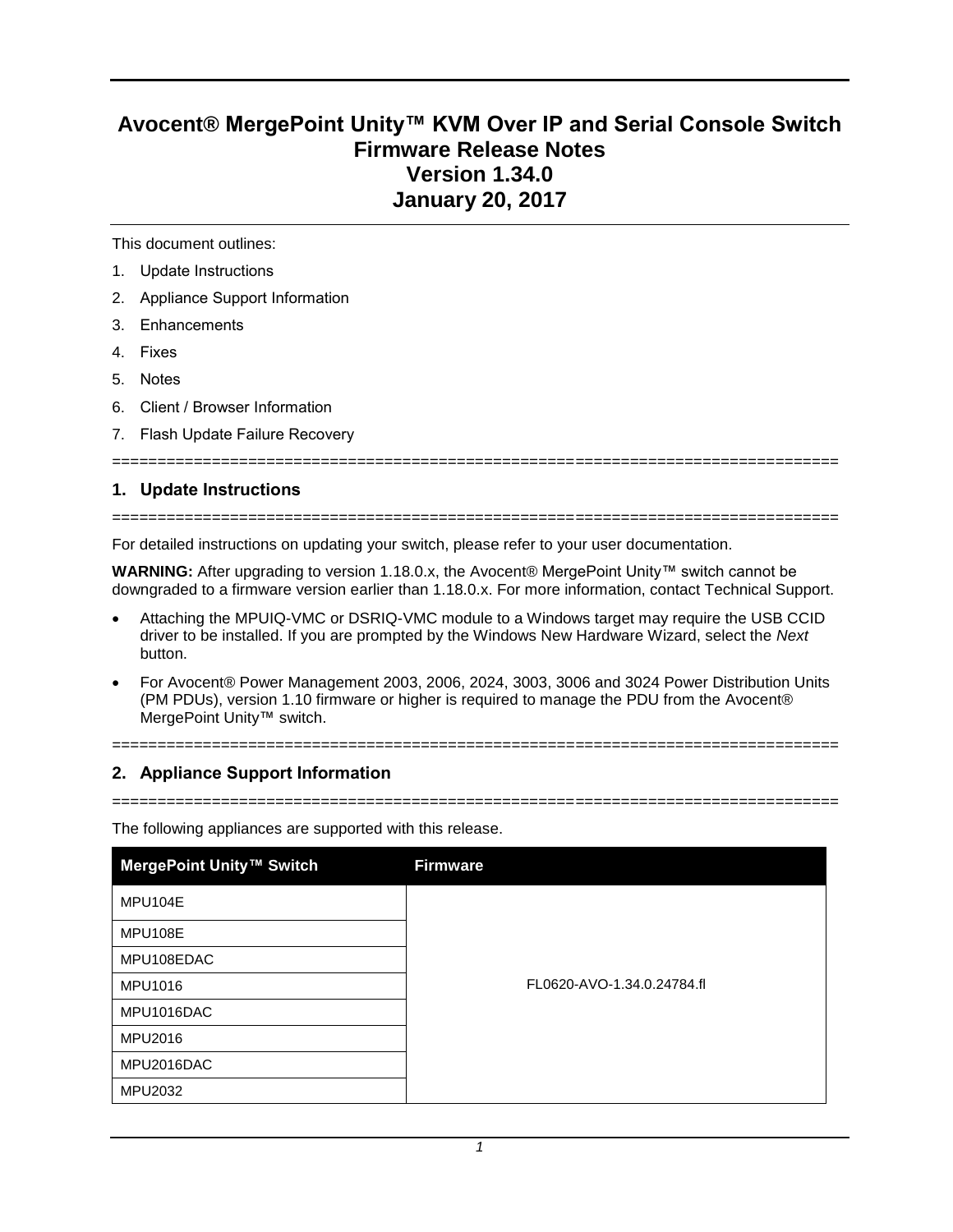# **Avocent® MergePoint Unity™ KVM Over IP and Serial Console Switch Firmware Release Notes Version 1.34.0 January 20, 2017**

This document outlines:

- 1. Update Instructions
- 2. Appliance Support Information
- 3. Enhancements
- 4. Fixes
- 5. Notes
- 6. Client / Browser Information
- 7. Flash Update Failure Recovery

# **1. Update Instructions**

#### ================================================================================

================================================================================

For detailed instructions on updating your switch, please refer to your user documentation.

**WARNING:** After upgrading to version 1.18.0.x, the Avocent® MergePoint Unity™ switch cannot be downgraded to a firmware version earlier than 1.18.0.x. For more information, contact Technical Support.

- Attaching the MPUIQ-VMC or DSRIQ-VMC module to a Windows target may require the USB CCID driver to be installed. If you are prompted by the Windows New Hardware Wizard, select the *Next* button.
- For Avocent® Power Management 2003, 2006, 2024, 3003, 3006 and 3024 Power Distribution Units (PM PDUs), version 1.10 firmware or higher is required to manage the PDU from the Avocent® MergePoint Unity™ switch.

# **2. Appliance Support Information**

================================================================================

================================================================================

The following appliances are supported with this release.

| MergePoint Unity™ Switch | <b>Firmware</b>            |
|--------------------------|----------------------------|
| MPU104E                  |                            |
| MPU108E                  |                            |
| MPU108EDAC               |                            |
| MPU1016                  | FL0620-AVO-1.34.0.24784.fl |
| MPU1016DAC               |                            |
| MPU2016                  |                            |
| MPU2016DAC               |                            |
| MPU2032                  |                            |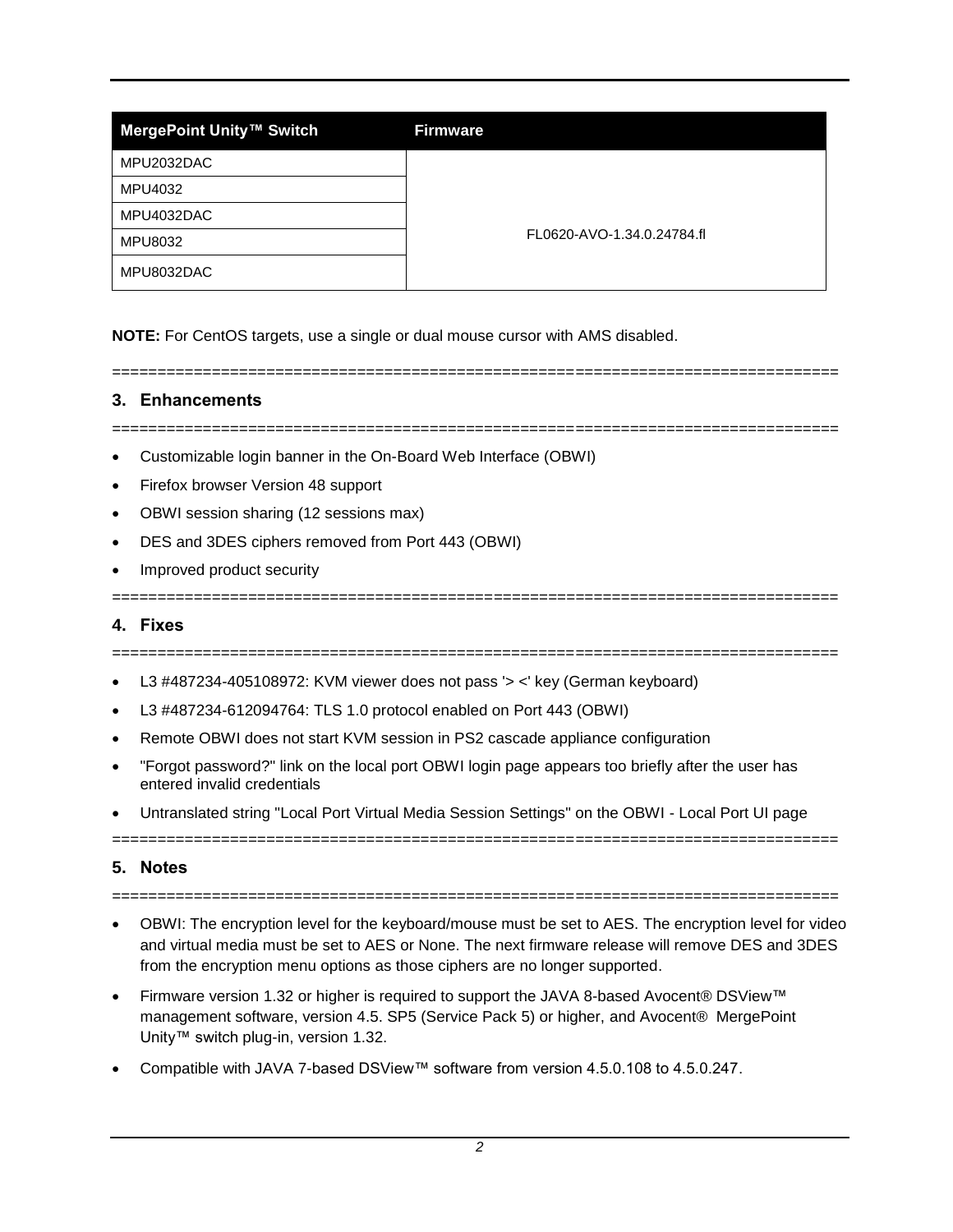| MergePoint Unity™ Switch | <b>Firmware</b>            |
|--------------------------|----------------------------|
| MPU2032DAC               |                            |
| MPU4032                  |                            |
| MPU4032DAC               | FL0620-AVO-1.34.0.24784.fl |
| <b>MPU8032</b>           |                            |
| MPU8032DAC               |                            |

**NOTE:** For CentOS targets, use a single or dual mouse cursor with AMS disabled.

# **3. Enhancements**

================================================================================

================================================================================

- Customizable login banner in the On-Board Web Interface (OBWI)
- Firefox browser Version 48 support
- OBWI session sharing (12 sessions max)
- DES and 3DES ciphers removed from Port 443 (OBWI)
- Improved product security

## **4. Fixes**

================================================================================

================================================================================

- L3 #487234-405108972: KVM viewer does not pass '> <' key (German keyboard)
- L3 #487234-612094764: TLS 1.0 protocol enabled on Port 443 (OBWI)
- Remote OBWI does not start KVM session in PS2 cascade appliance configuration
- "Forgot password?" link on the local port OBWI login page appears too briefly after the user has entered invalid credentials
- Untranslated string "Local Port Virtual Media Session Settings" on the OBWI Local Port UI page

================================================================================

# **5. Notes**

================================================================================

- OBWI: The encryption level for the keyboard/mouse must be set to AES. The encryption level for video and virtual media must be set to AES or None. The next firmware release will remove DES and 3DES from the encryption menu options as those ciphers are no longer supported.
- Firmware version 1.32 or higher is required to support the JAVA 8-based Avocent® DSView™ management software, version 4.5. SP5 (Service Pack 5) or higher, and Avocent® MergePoint Unity™ switch plug-in, version 1.32.
- Compatible with JAVA 7-based DSView™ software from version 4.5.0.108 to 4.5.0.247.